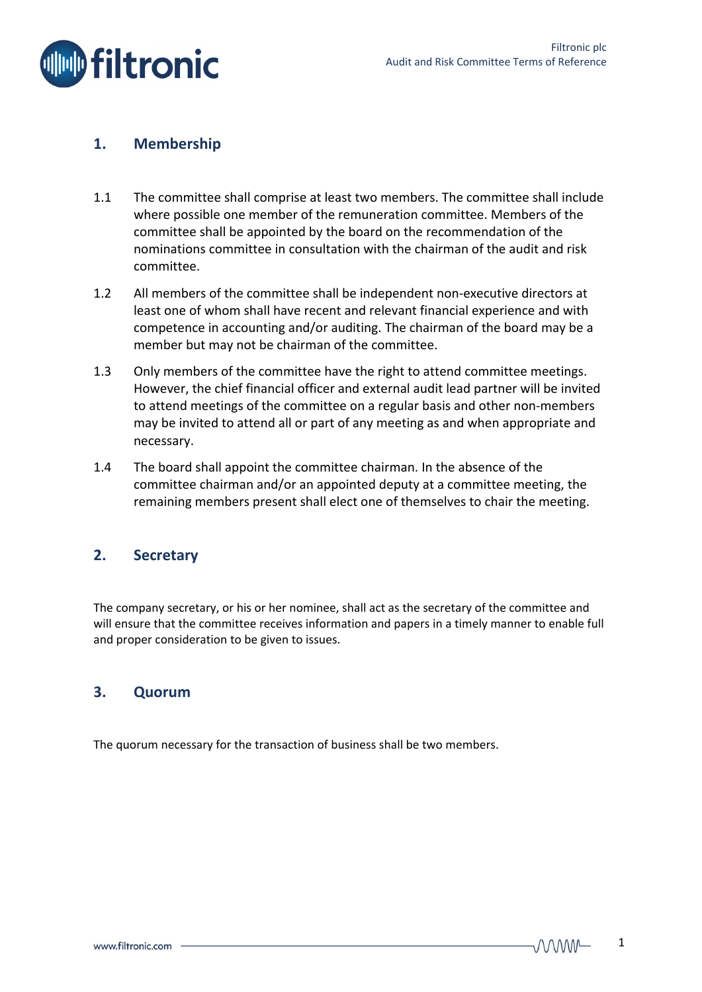

## **1. Membership**

- 1.1 The committee shall comprise at least two members. The committee shall include where possible one member of the remuneration committee. Members of the committee shall be appointed by the board on the recommendation of the nominations committee in consultation with the chairman of the audit and risk committee.
- 1.2 All members of the committee shall be independent non‐executive directors at least one of whom shall have recent and relevant financial experience and with competence in accounting and/or auditing. The chairman of the board may be a member but may not be chairman of the committee.
- 1.3 Only members of the committee have the right to attend committee meetings. However, the chief financial officer and external audit lead partner will be invited to attend meetings of the committee on a regular basis and other non‐members may be invited to attend all or part of any meeting as and when appropriate and necessary.
- 1.4 The board shall appoint the committee chairman. In the absence of the committee chairman and/or an appointed deputy at a committee meeting, the remaining members present shall elect one of themselves to chair the meeting.

## **2. Secretary**

The company secretary, or his or her nominee, shall act as the secretary of the committee and will ensure that the committee receives information and papers in a timely manner to enable full and proper consideration to be given to issues.

### **3. Quorum**

The quorum necessary for the transaction of business shall be two members.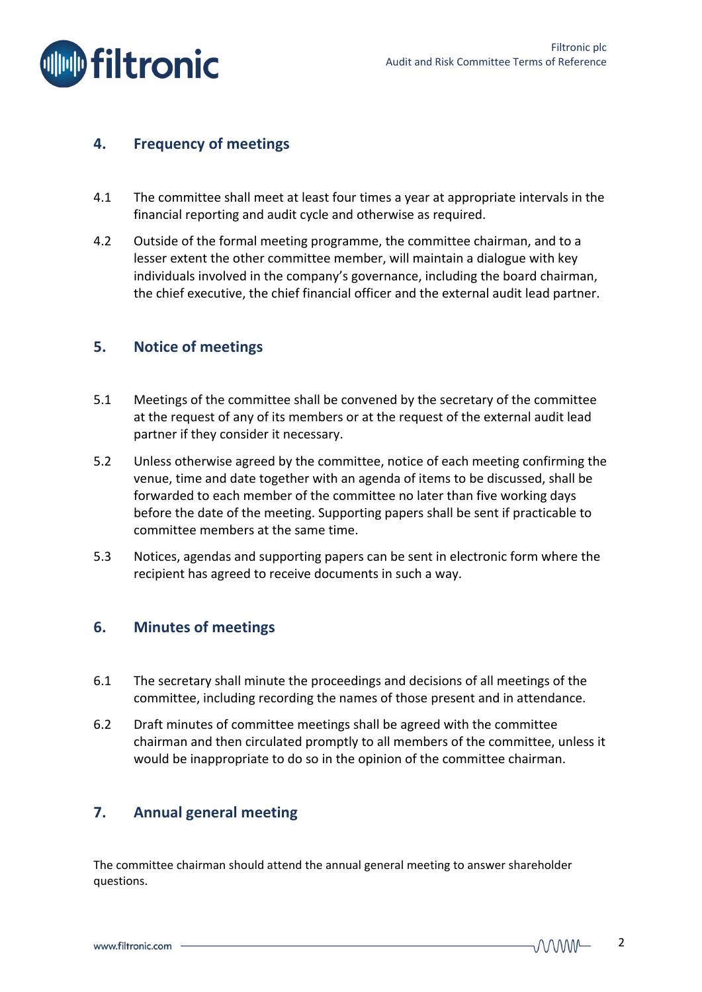

# **4. Frequency of meetings**

- 4.1 The committee shall meet at least four times a year at appropriate intervals in the financial reporting and audit cycle and otherwise as required.
- 4.2 Outside of the formal meeting programme, the committee chairman, and to a lesser extent the other committee member, will maintain a dialogue with key individuals involved in the company's governance, including the board chairman, the chief executive, the chief financial officer and the external audit lead partner.

## **5. Notice of meetings**

- 5.1 Meetings of the committee shall be convened by the secretary of the committee at the request of any of its members or at the request of the external audit lead partner if they consider it necessary.
- 5.2 Unless otherwise agreed by the committee, notice of each meeting confirming the venue, time and date together with an agenda of items to be discussed, shall be forwarded to each member of the committee no later than five working days before the date of the meeting. Supporting papers shall be sent if practicable to committee members at the same time.
- 5.3 Notices, agendas and supporting papers can be sent in electronic form where the recipient has agreed to receive documents in such a way.

# **6. Minutes of meetings**

- 6.1 The secretary shall minute the proceedings and decisions of all meetings of the committee, including recording the names of those present and in attendance.
- 6.2 Draft minutes of committee meetings shall be agreed with the committee chairman and then circulated promptly to all members of the committee, unless it would be inappropriate to do so in the opinion of the committee chairman.

# **7. Annual general meeting**

The committee chairman should attend the annual general meeting to answer shareholder questions.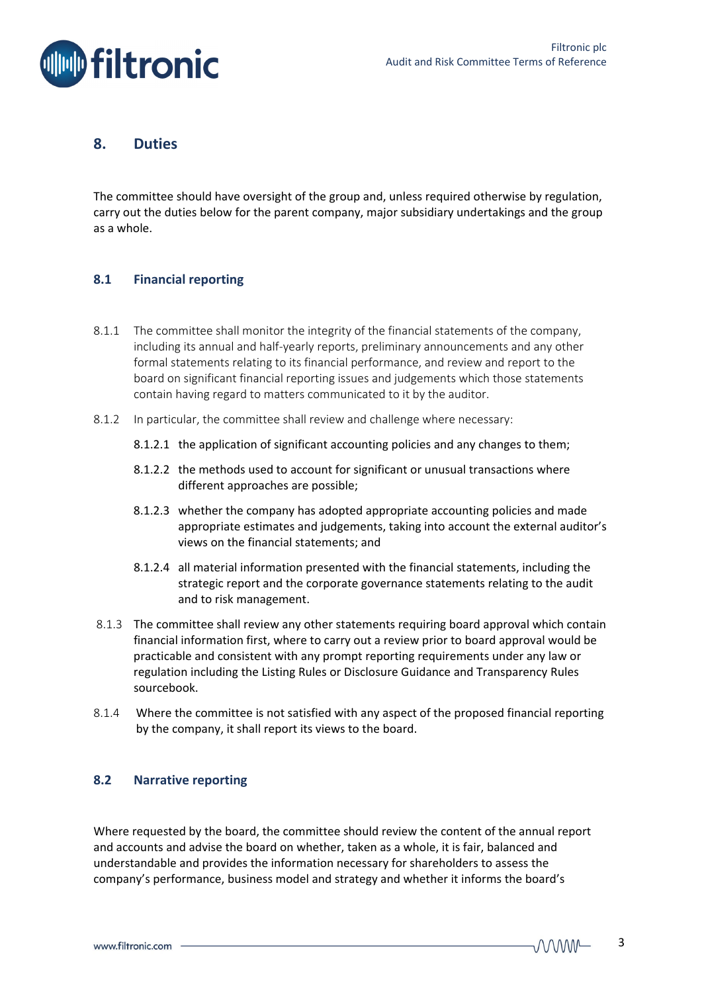

## **8. Duties**

The committee should have oversight of the group and, unless required otherwise by regulation, carry out the duties below for the parent company, major subsidiary undertakings and the group as a whole.

### **8.1 Financial reporting**

- 8.1.1 The committee shall monitor the integrity of the financial statements of the company, including its annual and half‐yearly reports, preliminary announcements and any other formal statements relating to its financial performance, and review and report to the board on significant financial reporting issues and judgements which those statements contain having regard to matters communicated to it by the auditor.
- 8.1.2 In particular, the committee shall review and challenge where necessary:
	- 8.1.2.1 the application of significant accounting policies and any changes to them;
	- 8.1.2.2 the methods used to account for significant or unusual transactions where different approaches are possible;
	- 8.1.2.3 whether the company has adopted appropriate accounting policies and made appropriate estimates and judgements, taking into account the external auditor's views on the financial statements; and
	- 8.1.2.4 all material information presented with the financial statements, including the strategic report and the corporate governance statements relating to the audit and to risk management.
- 8.1.3 The committee shall review any other statements requiring board approval which contain financial information first, where to carry out a review prior to board approval would be practicable and consistent with any prompt reporting requirements under any law or regulation including the Listing Rules or Disclosure Guidance and Transparency Rules sourcebook.
- 8.1.4 Where the committee is not satisfied with any aspect of the proposed financial reporting by the company, it shall report its views to the board.

### **8.2 Narrative reporting**

Where requested by the board, the committee should review the content of the annual report and accounts and advise the board on whether, taken as a whole, it is fair, balanced and understandable and provides the information necessary for shareholders to assess the company's performance, business model and strategy and whether it informs the board's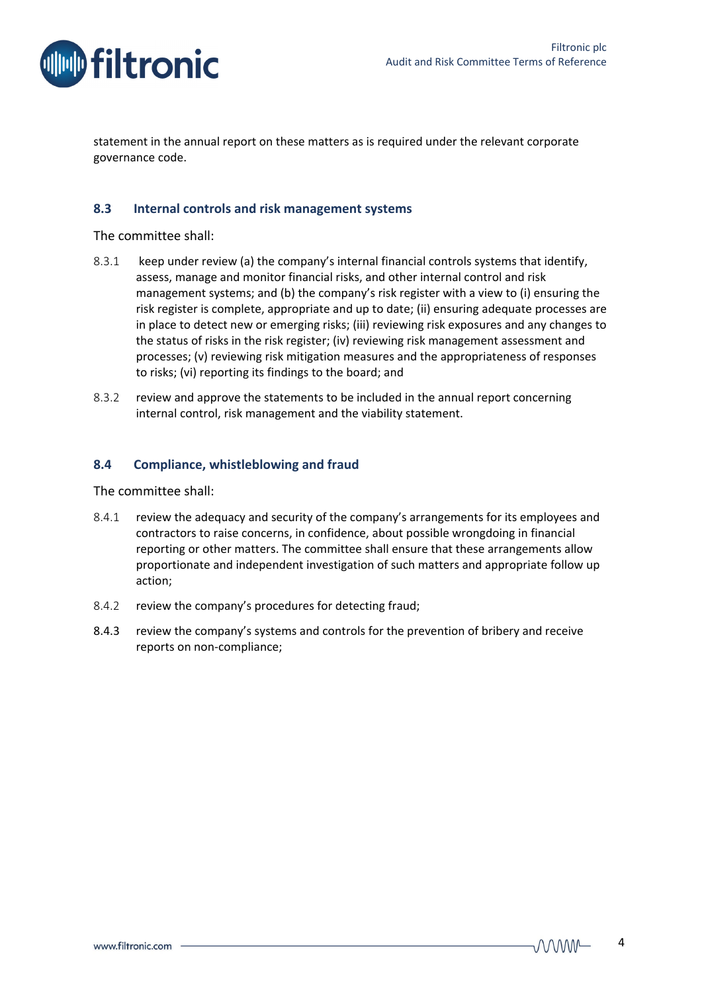



statement in the annual report on these matters as is required under the relevant corporate governance code.

### **8.3 Internal controls and risk management systems**

The committee shall:

- 8.3.1 keep under review (a) the company's internal financial controls systems that identify, assess, manage and monitor financial risks, and other internal control and risk management systems; and (b) the company's risk register with a view to (i) ensuring the risk register is complete, appropriate and up to date; (ii) ensuring adequate processes are in place to detect new or emerging risks; (iii) reviewing risk exposures and any changes to the status of risks in the risk register; (iv) reviewing risk management assessment and processes; (v) reviewing risk mitigation measures and the appropriateness of responses to risks; (vi) reporting its findings to the board; and
- 8.3.2 review and approve the statements to be included in the annual report concerning internal control, risk management and the viability statement.

#### **8.4 Compliance, whistleblowing and fraud**

The committee shall:

- 8.4.1 review the adequacy and security of the company's arrangements for its employees and contractors to raise concerns, in confidence, about possible wrongdoing in financial reporting or other matters. The committee shall ensure that these arrangements allow proportionate and independent investigation of such matters and appropriate follow up action;
- 8.4.2 review the company's procedures for detecting fraud;
- 8.4.3 review the company's systems and controls for the prevention of bribery and receive reports on non‐compliance;

 $MMM -$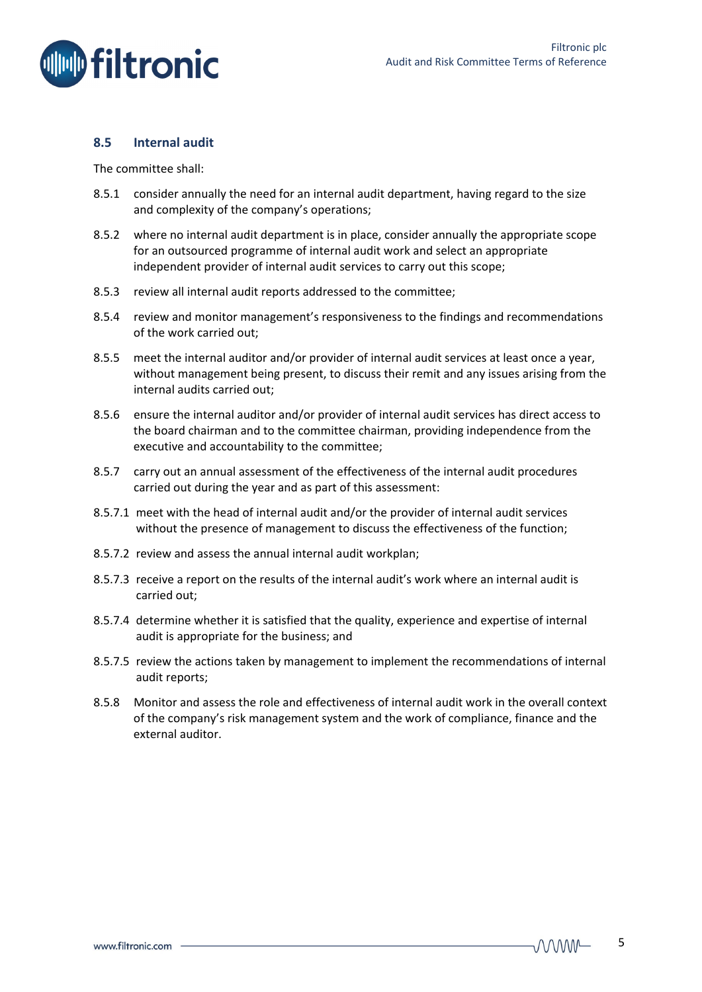

#### **8.5 Internal audit**

The committee shall:

- 8.5.1 consider annually the need for an internal audit department, having regard to the size and complexity of the company's operations;
- 8.5.2 where no internal audit department is in place, consider annually the appropriate scope for an outsourced programme of internal audit work and select an appropriate independent provider of internal audit services to carry out this scope;
- 8.5.3 review all internal audit reports addressed to the committee;
- 8.5.4 review and monitor management's responsiveness to the findings and recommendations of the work carried out;
- 8.5.5 meet the internal auditor and/or provider of internal audit services at least once a year, without management being present, to discuss their remit and any issues arising from the internal audits carried out;
- 8.5.6 ensure the internal auditor and/or provider of internal audit services has direct access to the board chairman and to the committee chairman, providing independence from the executive and accountability to the committee;
- 8.5.7 carry out an annual assessment of the effectiveness of the internal audit procedures carried out during the year and as part of this assessment:
- 8.5.7.1 meet with the head of internal audit and/or the provider of internal audit services without the presence of management to discuss the effectiveness of the function;
- 8.5.7.2 review and assess the annual internal audit workplan;
- 8.5.7.3 receive a report on the results of the internal audit's work where an internal audit is carried out;
- 8.5.7.4 determine whether it is satisfied that the quality, experience and expertise of internal audit is appropriate for the business; and
- 8.5.7.5 review the actions taken by management to implement the recommendations of internal audit reports;
- 8.5.8 Monitor and assess the role and effectiveness of internal audit work in the overall context of the company's risk management system and the work of compliance, finance and the external auditor.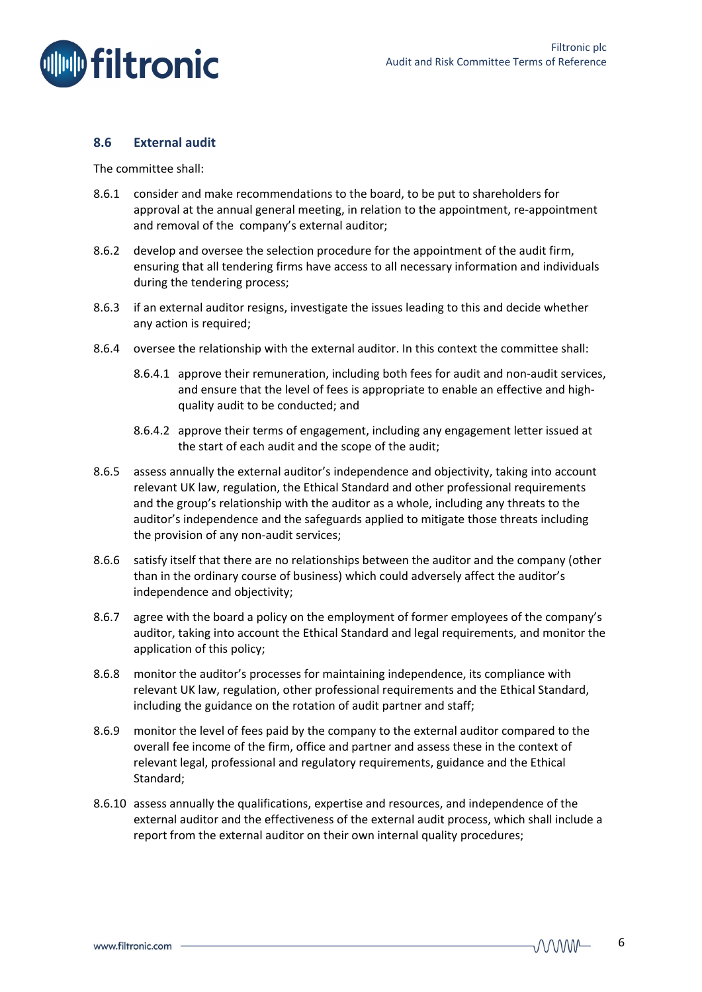

### **8.6 External audit**

The committee shall:

- 8.6.1 consider and make recommendations to the board, to be put to shareholders for approval at the annual general meeting, in relation to the appointment, re‐appointment and removal of the company's external auditor;
- 8.6.2 develop and oversee the selection procedure for the appointment of the audit firm, ensuring that all tendering firms have access to all necessary information and individuals during the tendering process;
- 8.6.3 if an external auditor resigns, investigate the issues leading to this and decide whether any action is required;
- 8.6.4 oversee the relationship with the external auditor. In this context the committee shall:
	- 8.6.4.1 approve their remuneration, including both fees for audit and non-audit services, and ensure that the level of fees is appropriate to enable an effective and highquality audit to be conducted; and
	- 8.6.4.2 approve their terms of engagement, including any engagement letter issued at the start of each audit and the scope of the audit;
- 8.6.5 assess annually the external auditor's independence and objectivity, taking into account relevant UK law, regulation, the Ethical Standard and other professional requirements and the group's relationship with the auditor as a whole, including any threats to the auditor's independence and the safeguards applied to mitigate those threats including the provision of any non‐audit services;
- 8.6.6 satisfy itself that there are no relationships between the auditor and the company (other than in the ordinary course of business) which could adversely affect the auditor's independence and objectivity;
- 8.6.7 agree with the board a policy on the employment of former employees of the company's auditor, taking into account the Ethical Standard and legal requirements, and monitor the application of this policy;
- 8.6.8 monitor the auditor's processes for maintaining independence, its compliance with relevant UK law, regulation, other professional requirements and the Ethical Standard, including the guidance on the rotation of audit partner and staff;
- 8.6.9 monitor the level of fees paid by the company to the external auditor compared to the overall fee income of the firm, office and partner and assess these in the context of relevant legal, professional and regulatory requirements, guidance and the Ethical Standard;
- 8.6.10 assess annually the qualifications, expertise and resources, and independence of the external auditor and the effectiveness of the external audit process, which shall include a report from the external auditor on their own internal quality procedures;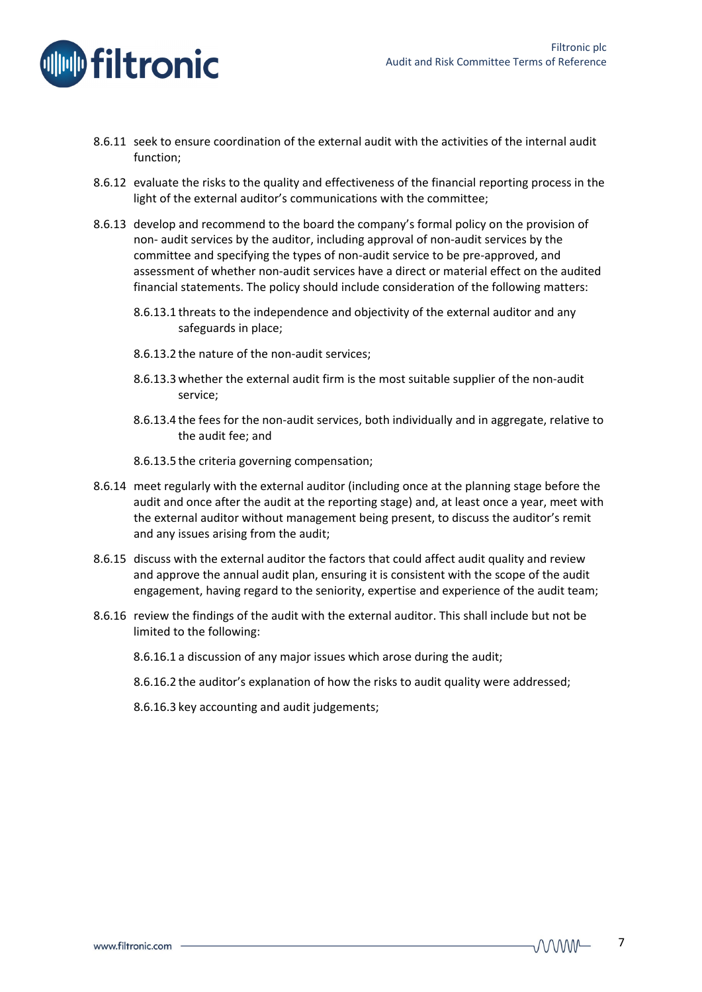

- 8.6.11 seek to ensure coordination of the external audit with the activities of the internal audit function;
- 8.6.12 evaluate the risks to the quality and effectiveness of the financial reporting process in the light of the external auditor's communications with the committee;
- 8.6.13 develop and recommend to the board the company's formal policy on the provision of non‐ audit services by the auditor, including approval of non‐audit services by the committee and specifying the types of non‐audit service to be pre‐approved, and assessment of whether non‐audit services have a direct or material effect on the audited financial statements. The policy should include consideration of the following matters:
	- 8.6.13.1 threats to the independence and objectivity of the external auditor and any safeguards in place;
	- 8.6.13.2 the nature of the non-audit services;
	- 8.6.13.3 whether the external audit firm is the most suitable supplier of the non‐audit service;
	- 8.6.13.4 the fees for the non‐audit services, both individually and in aggregate, relative to the audit fee; and
	- 8.6.13.5 the criteria governing compensation;
- 8.6.14 meet regularly with the external auditor (including once at the planning stage before the audit and once after the audit at the reporting stage) and, at least once a year, meet with the external auditor without management being present, to discuss the auditor's remit and any issues arising from the audit;
- 8.6.15 discuss with the external auditor the factors that could affect audit quality and review and approve the annual audit plan, ensuring it is consistent with the scope of the audit engagement, having regard to the seniority, expertise and experience of the audit team;
- 8.6.16 review the findings of the audit with the external auditor. This shall include but not be limited to the following:
	- 8.6.16.1 a discussion of any major issues which arose during the audit;
	- 8.6.16.2 the auditor's explanation of how the risks to audit quality were addressed;
	- 8.6.16.3 key accounting and audit judgements;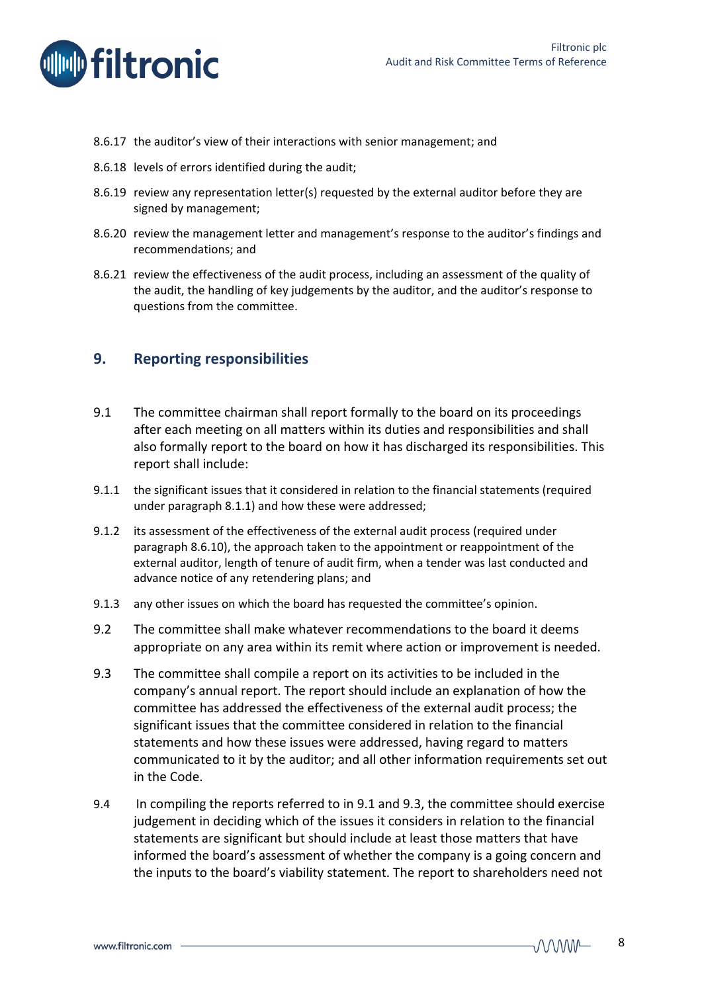



- 8.6.17 the auditor's view of their interactions with senior management; and
- 8.6.18 levels of errors identified during the audit;
- 8.6.19 review any representation letter(s) requested by the external auditor before they are signed by management;
- 8.6.20 review the management letter and management's response to the auditor's findings and recommendations; and
- 8.6.21 review the effectiveness of the audit process, including an assessment of the quality of the audit, the handling of key judgements by the auditor, and the auditor's response to questions from the committee.

### **9. Reporting responsibilities**

- 9.1 The committee chairman shall report formally to the board on its proceedings after each meeting on all matters within its duties and responsibilities and shall also formally report to the board on how it has discharged its responsibilities. This report shall include:
- 9.1.1 the significant issues that it considered in relation to the financial statements (required under paragraph 8.1.1) and how these were addressed;
- 9.1.2 its assessment of the effectiveness of the external audit process (required under paragraph 8.6.10), the approach taken to the appointment or reappointment of the external auditor, length of tenure of audit firm, when a tender was last conducted and advance notice of any retendering plans; and
- 9.1.3 any other issues on which the board has requested the committee's opinion.
- 9.2 The committee shall make whatever recommendations to the board it deems appropriate on any area within its remit where action or improvement is needed.
- 9.3 The committee shall compile a report on its activities to be included in the company's annual report. The report should include an explanation of how the committee has addressed the effectiveness of the external audit process; the significant issues that the committee considered in relation to the financial statements and how these issues were addressed, having regard to matters communicated to it by the auditor; and all other information requirements set out in the Code.
- 9.4 In compiling the reports referred to in 9.1 and 9.3, the committee should exercise judgement in deciding which of the issues it considers in relation to the financial statements are significant but should include at least those matters that have informed the board's assessment of whether the company is a going concern and the inputs to the board's viability statement. The report to shareholders need not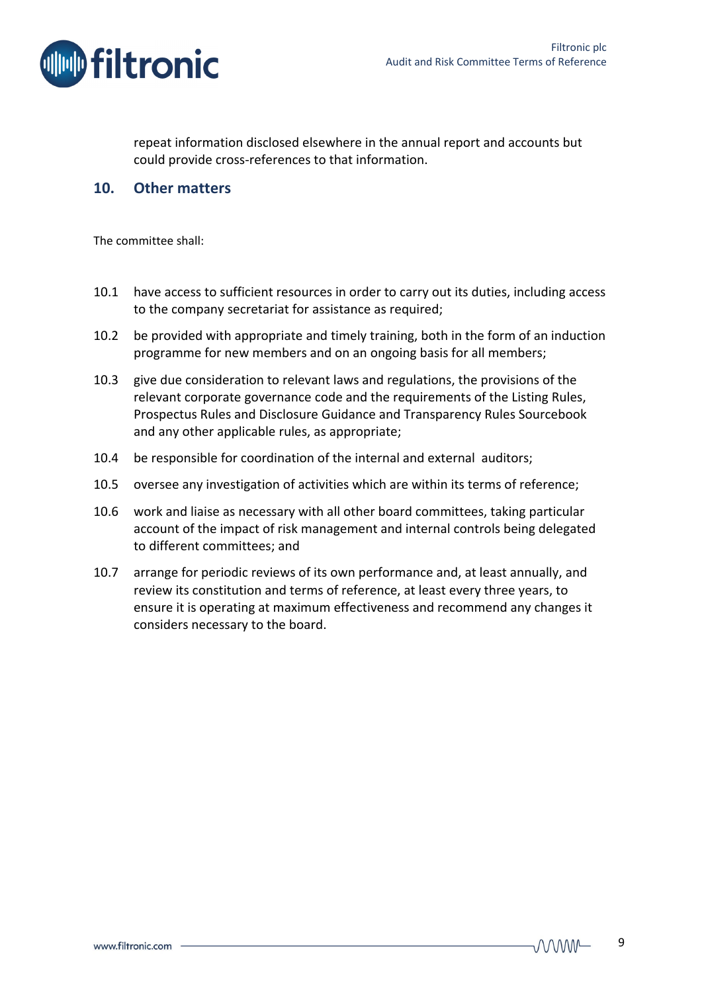

repeat information disclosed elsewhere in the annual report and accounts but could provide cross‐references to that information.

### **10. Other matters**

The committee shall:

- 10.1 have access to sufficient resources in order to carry out its duties, including access to the company secretariat for assistance as required;
- 10.2 be provided with appropriate and timely training, both in the form of an induction programme for new members and on an ongoing basis for all members;
- 10.3 give due consideration to relevant laws and regulations, the provisions of the relevant corporate governance code and the requirements of the Listing Rules, Prospectus Rules and Disclosure Guidance and Transparency Rules Sourcebook and any other applicable rules, as appropriate;
- 10.4 be responsible for coordination of the internal and external auditors;
- 10.5 oversee any investigation of activities which are within its terms of reference;
- 10.6 work and liaise as necessary with all other board committees, taking particular account of the impact of risk management and internal controls being delegated to different committees; and
- 10.7 arrange for periodic reviews of its own performance and, at least annually, and review its constitution and terms of reference, at least every three years, to ensure it is operating at maximum effectiveness and recommend any changes it considers necessary to the board.